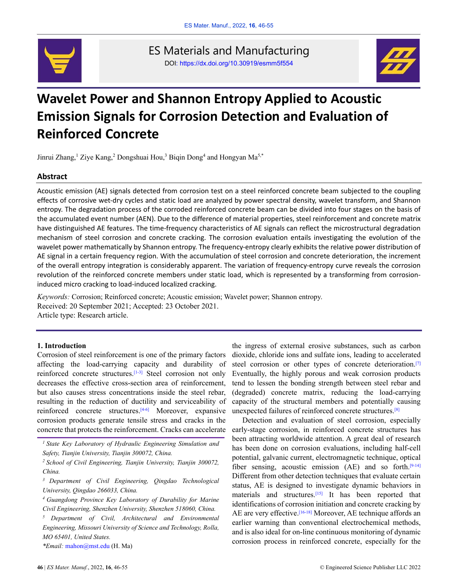

ES Materials and Manufacturing DOI: https://dx.doi.org/10.30919/esmm5f554



# **Wavelet Power and Shannon Entropy Applied to Acoustic Emission Signals for Corrosion Detection and Evaluation of Reinforced Concrete**

Jinrui Zhang,<sup>1</sup> Ziye Kang,<sup>2</sup> Dongshuai Hou,<sup>3</sup> Biqin Dong<sup>4</sup> and Hongyan Ma<sup>5,\*</sup>

# **Abstract**

Acoustic emission (AE) signals detected from corrosion test on a steel reinforced concrete beam subjected to the coupling effects of corrosive wet-dry cycles and static load are analyzed by power spectral density, wavelet transform, and Shannon entropy. The degradation process of the corroded reinforced concrete beam can be divided into four stages on the basis of the accumulated event number (AEN). Due to the difference of material properties, steel reinforcement and concrete matrix have distinguished AE features. The time-frequency characteristics of AE signals can reflect the microstructural degradation mechanism of steel corrosion and concrete cracking. The corrosion evaluation entails investigating the evolution of the wavelet power mathematically by Shannon entropy. The frequency-entropy clearly exhibits the relative power distribution of AE signal in a certain frequency region. With the accumulation of steel corrosion and concrete deterioration, the increment of the overall entropy integration is considerably apparent. The variation of frequency-entropy curve reveals the corrosion revolution of the reinforced concrete members under static load, which is represented by a transforming from corrosioninduced micro cracking to load-induced localized cracking.

*Keywords:* Corrosion; Reinforced concrete; Acoustic emission; Wavelet power; Shannon entropy. Received: 20 September 2021; Accepted: 23 October 2021. Article type: Research article.

# **1. Introduction**

Corrosion of steel reinforcement is one of the primary factors affecting the load-carrying capacity and durability of reinforced concrete structures.<sup>[1-3]</sup> Steel corrosion not only decreases the effective cross-section area of reinforcement, but also causes stress concentrations inside the steel rebar, resulting in the reduction of ductility and serviceability of reinforced concrete structures.<sup>[4-6]</sup> Moreover, expansive corrosion products generate tensile stress and cracks in the concrete that protects the reinforcement. Cracks can accelerate

*<sup>1</sup>State Key Laboratory of Hydraulic Engineering Simulation and Safety, Tianjin University, Tianjin 300072, China.*

*<sup>2</sup>School of Civil Engineering, Tianjin University, Tianjin 300072, China.*

*<sup>3</sup>Department of Civil Engineering, Qingdao Technological University, Qingdao 266033, China.*

*<sup>5</sup>Department of Civil, Architectural and Environmental Engineering, Missouri University of Science and Technology, Rolla, MO 65401, United States.*

*\*Email:* mahon@mst.edu (H. Ma)

the ingress of external erosive substances, such as carbon dioxide, chloride ions and sulfate ions, leading to accelerated steel corrosion or other types of concrete deterioration.<sup>[7]</sup> Eventually, the highly porous and weak corrosion products tend to lessen the bonding strength between steel rebar and (degraded) concrete matrix, reducing the load-carrying capacity of the structural members and potentially causing unexpected failures of reinforced concrete structures. [8]

Detection and evaluation of steel corrosion, especially early-stage corrosion, in reinforced concrete structures has been attracting worldwide attention. A great deal of research has been done on corrosion evaluations, including half-cell potential, galvanic current, electromagnetic technique, optical fiber sensing, acoustic emission  $(AE)$  and so forth.<sup>[9-14]</sup> Different from other detection techniques that evaluate certain status, AE is designed to investigate dynamic behaviors in materials and structures. [15] It has been reported that identifications of corrosion initiation and concrete cracking by AE are very effective.<sup>[16-18]</sup> Moreover, AE technique affords an earlier warning than conventional electrochemical methods, and is also ideal for on-line continuous monitoring of dynamic corrosion process in reinforced concrete, especially for the

*<sup>4</sup>Guangdong Province Key Laboratory of Durability for Marine Civil Engineering, Shenzhen University, Shenzhen 518060, China.*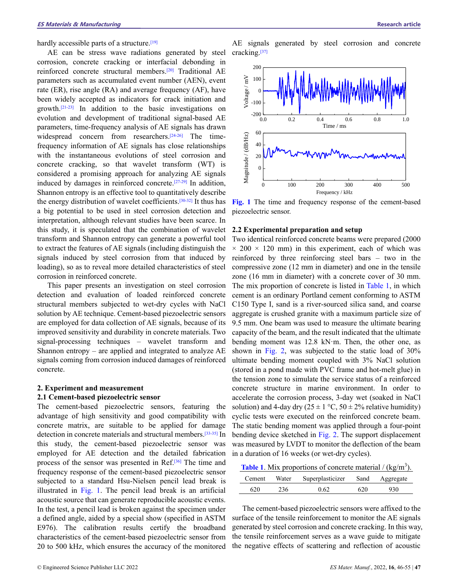hardly accessible parts of a structure.[19]

AE can be stress wave radiations generated by steel corrosion, concrete cracking or interfacial debonding in reinforced concrete structural members. [20] Traditional AE parameters such as accumulated event number (AEN), event rate (ER), rise angle (RA) and average frequency (AF), have been widely accepted as indicators for crack initiation and growth. [21-23] In addition to the basic investigations on evolution and development of traditional signal-based AE parameters, time-frequency analysis of AE signals has drawn widespread concern from researchers.<sup>[24-26]</sup> The timefrequency information of AE signals has close relationships with the instantaneous evolutions of steel corrosion and concrete cracking, so that wavelet transform (WT) is considered a promising approach for analyzing AE signals induced by damages in reinforced concrete. [27-29] In addition, Shannon entropy is an effective tool to quantitatively describe the energy distribution of wavelet coefficients.<sup>[30-32]</sup> It thus has a big potential to be used in steel corrosion detection and interpretation, although relevant studies have been scarce. In this study, it is speculated that the combination of wavelet transform and Shannon entropy can generate a powerful tool to extract the features of AE signals (including distinguish the signals induced by steel corrosion from that induced by loading), so as to reveal more detailed characteristics of steel corrosion in reinforced concrete.

This paper presents an investigation on steel corrosion detection and evaluation of loaded reinforced concrete structural members subjected to wet-dry cycles with NaCl solution by AE technique. Cement-based piezoelectric sensors are employed for data collection of AE signals, because of its improved sensitivity and durability in concrete materials. Two signal-processing techniques – wavelet transform and Shannon entropy – are applied and integrated to analyze AE signals coming from corrosion induced damages of reinforced concrete.

# **2. Experiment and measurement**

# **2.1 Cement-based piezoelectric sensor**

The cement-based piezoelectric sensors, featuring the advantage of high sensitivity and good compatibility with concrete matrix, are suitable to be applied for damage detection in concrete materials and structural members. [33-35] In this study, the cement-based piezoelectric sensor was employed for AE detection and the detailed fabrication process of the sensor was presented in Ref.<sup>[36]</sup> The time and frequency response of the cement-based piezoelectric sensor subjected to a standard Hsu-Nielsen pencil lead break is illustrated in Fig. 1. The pencil lead break is an artificial acoustic source that can generate reproducible acoustic events. In the test, a pencil lead is broken against the specimen under a defined angle, aided by a special show (specified in ASTM E976). The calibration results certify the broadband characteristics of the cement-based piezoelectric sensor from 20 to 500 kHz, which ensures the accuracy of the monitored

AE signals generated by steel corrosion and concrete cracking.<sup>[37]</sup>



**Fig. 1** The time and frequency response of the cement-based piezoelectric sensor.

## **2.2 Experimental preparation and setup**

Two identical reinforced concrete beams were prepared (2000  $\times$  200  $\times$  120 mm) in this experiment, each of which was reinforced by three reinforcing steel bars – two in the compressive zone (12 mm in diameter) and one in the tensile zone (16 mm in diameter) with a concrete cover of 30 mm. The mix proportion of concrete is listed in Table 1, in which cement is an ordinary Portland cement conforming to ASTM C150 Type I, sand is a river-sourced silica sand, and coarse aggregate is crushed granite with a maximum particle size of 9.5 mm. One beam was used to measure the ultimate bearing capacity of the beam, and the result indicated that the ultimate bending moment was 12.8 kN·m. Then, the other one, as shown in Fig. 2, was subjected to the static load of 30% ultimate bending moment coupled with 3% NaCl solution (stored in a pond made with PVC frame and hot-melt glue) in the tension zone to simulate the service status of a reinforced concrete structure in marine environment. In order to accelerate the corrosion process, 3-day wet (soaked in NaCl solution) and 4-day dry ( $25 \pm 1$  °C,  $50 \pm 2$ % relative humidity) cyclic tests were executed on the reinforced concrete beam. The static bending moment was applied through a four-point bending device sketched in Fig. 2. The support displacement was measured by LVDT to monitor the deflection of the beam in a duration of 16 weeks (or wet-dry cycles).

**Table 1**. Mix proportions of concrete material  $/(kg/m<sup>3</sup>)$ .

| Cement. | Water | Superplasticizer | Sand | Aggregate |
|---------|-------|------------------|------|-----------|
| 620     | 236   | 0.62             | 620  | 930       |

The cement-based piezoelectric sensors were affixed to the surface of the tensile reinforcement to monitor the AE signals generated by steel corrosion and concrete cracking. In this way, the tensile reinforcement serves as a wave guide to mitigate the negative effects of scattering and reflection of acoustic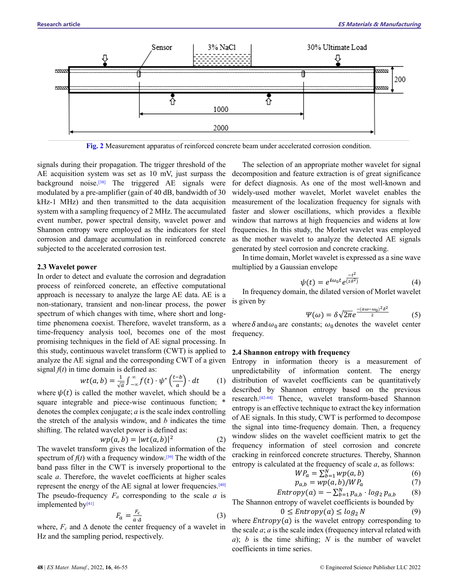

**Fig. 2** Measurement apparatus of reinforced concrete beam under accelerated corrosion condition.

signals during their propagation. The trigger threshold of the AE acquisition system was set as 10 mV, just surpass the background noise.<sup>[38]</sup> The triggered AE signals were modulated by a pre-amplifier (gain of 40 dB, bandwidth of 30 kHz-1 MHz) and then transmitted to the data acquisition system with a sampling frequency of 2 MHz. The accumulated event number, power spectral density, wavelet power and Shannon entropy were employed as the indicators for steel corrosion and damage accumulation in reinforced concrete subjected to the accelerated corrosion test.

#### **2.3 Wavelet power**

In order to detect and evaluate the corrosion and degradation process of reinforced concrete, an effective computational approach is necessary to analyze the large AE data. AE is a non-stationary, transient and non-linear process, the power spectrum of which changes with time, where short and longtime phenomena coexist. Therefore, wavelet transform, as a time-frequency analysis tool, becomes one of the most promising techniques in the field of AE signal processing. In this study, continuous wavelet transform (CWT) is applied to analyze the AE signal and the corresponding CWT of a given signal  $f(t)$  in time domain is defined as:

$$
wt(a,b) = \frac{1}{\sqrt{a}} \int_{-\infty}^{\infty} f(t) \cdot \psi^* \left(\frac{t-b}{a}\right) \cdot dt \tag{1}
$$

where  $\psi(t)$  is called the mother wavelet, which should be a square integrable and piece-wise continuous function; \* denotes the complex conjugate; *a* is the scale index controlling the stretch of the analysis window, and *b* indicates the time shifting. The related wavelet power is defined as:

$$
wp(a,b) = |wt(a,b)|^2
$$
 (2)

The wavelet transform gives the localized information of the spectrum of  $f(t)$  with a frequency window.<sup>[39]</sup> The width of the band pass filter in the CWT is inversely proportional to the scale *a*. Therefore, the wavelet coefficients at higher scales represent the energy of the AE signal at lower frequencies.<sup>[40]</sup> The pseudo-frequency *F<sup>a</sup>* corresponding to the scale *a* is implemented by<sup>[41]</sup>

$$
F_a = \frac{F_c}{a \cdot \Delta} \tag{3}
$$

where,  $F_c$  and  $\Delta$  denote the center frequency of a wavelet in Hz and the sampling period, respectively.

The selection of an appropriate mother wavelet for signal decomposition and feature extraction is of great significance for defect diagnosis. As one of the most well-known and widely-used mother wavelet, Morlet wavelet enables the measurement of the localization frequency for signals with faster and slower oscillations, which provides a flexible window that narrows at high frequencies and widens at low frequencies. In this study, the Morlet wavelet was employed as the mother wavelet to analyze the detected AE signals generated by steel corrosion and concrete cracking.

In time domain, Morlet wavelet is expressed as a sine wave multiplied by a Gaussian envelope

$$
\psi(t) = e^{i\omega_0 t} e^{\frac{-t^2}{(2\delta^2)}} \tag{4}
$$

In frequency domain, the dilated version of Morlet wavelet is given by

$$
\Psi(\omega) = \delta \sqrt{2\pi} e^{\frac{-(a\omega - \omega_0)^2 \delta^2}{2}} \tag{5}
$$

where  $\delta$  and  $\omega_0$  are constants;  $\omega_0$  denotes the wavelet center frequency.

#### **2.4 Shannon entropy with frequency**

Entropy in information theory is a measurement of unpredictability of information content. The energy distribution of wavelet coefficients can be quantitatively described by Shannon entropy based on the previous research. [42-44] Thence, wavelet transform-based Shannon entropy is an effective technique to extract the key information of AE signals. In this study, CWT is performed to decompose the signal into time-frequency domain. Then, a frequency window slides on the wavelet coefficient matrix to get the frequency information of steel corrosion and concrete cracking in reinforced concrete structures. Thereby, Shannon entropy is calculated at the frequency of scale *a*, as follows:

$$
WP_a = \sum_{b=1}^{N} wp(a, b)
$$
 (6)

$$
p_{a,b} = wp(a,b)/WP_a \tag{7}
$$

$$
Entropy(a) = -\sum_{b=1}^{N} p_{a,b} \cdot log_2 p_{a,b} \qquad (8)
$$

The Shannon entropy of wavelet coefficients is bounded by

$$
0 \leq Entropy(a) \leq \log_2 N \tag{9}
$$

where  $Entropy(a)$  is the wavelet entropy corresponding to the scale *a*; *a* is the scale index (frequency interval related with *a*); *b* is the time shifting; *N* is the number of wavelet coefficients in time series.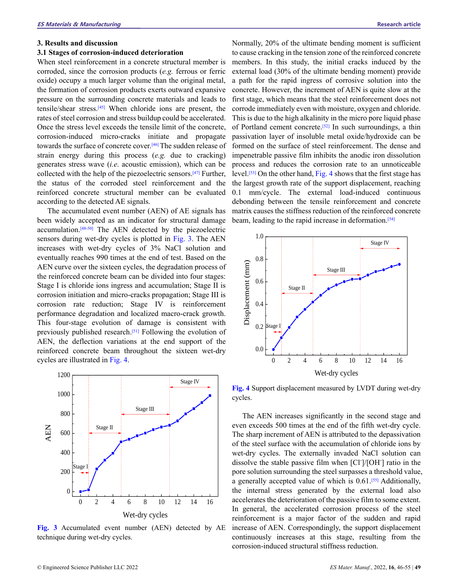## **3. Results and discussion**

#### **3.1 Stages of corrosion-induced deterioration**

When steel reinforcement in a concrete structural member is corroded, since the corrosion products (*e.g.* ferrous or ferric oxide) occupy a much larger volume than the original metal, the formation of corrosion products exerts outward expansive pressure on the surrounding concrete materials and leads to tensile/shear stress. [45] When chloride ions are present, the rates of steel corrosion and stress buildup could be accelerated. Once the stress level exceeds the tensile limit of the concrete, corrosion-induced micro-cracks initiate and propagate towards the surface of concrete cover. [46]The sudden release of strain energy during this process (*e.g.* due to cracking) generates stress wave (*i.e*. acoustic emission), which can be collected with the help of the piezoelectric sensors. [47] Further, the status of the corroded steel reinforcement and the reinforced concrete structural member can be evaluated according to the detected AE signals.

The accumulated event number (AEN) of AE signals has been widely accepted as an indicator for structural damage accumulation.<sup>[48-50]</sup> The AEN detected by the piezoelectric sensors during wet-dry cycles is plotted in Fig. 3. The AEN increases with wet-dry cycles of 3% NaCl solution and eventually reaches 990 times at the end of test. Based on the AEN curve over the sixteen cycles, the degradation process of the reinforced concrete beam can be divided into four stages: Stage I is chloride ions ingress and accumulation; Stage II is corrosion initiation and micro-cracks propagation; Stage III is corrosion rate reduction; Stage IV is reinforcement performance degradation and localized macro-crack growth. This four-stage evolution of damage is consistent with previously published research.<sup>[51]</sup> Following the evolution of AEN, the deflection variations at the end support of the reinforced concrete beam throughout the sixteen wet-dry cycles are illustrated in Fig. 4.



**Fig. 3** Accumulated event number (AEN) detected by AE technique during wet-dry cycles.

Normally, 20% of the ultimate bending moment is sufficient to cause cracking in the tension zone of the reinforced concrete members. In this study, the initial cracks induced by the external load (30% of the ultimate bending moment) provide a path for the rapid ingress of corrosive solution into the concrete. However, the increment of AEN is quite slow at the first stage, which means that the steel reinforcement does not corrode immediately even with moisture, oxygen and chloride. This is due to the high alkalinity in the micro pore liquid phase of Portland cement concrete.<sup>[52]</sup> In such surroundings, a thin passivation layer of insoluble metal oxide/hydroxide can be formed on the surface of steel reinforcement. The dense and impenetrable passive film inhibits the anodic iron dissolution process and reduces the corrosion rate to an unnoticeable level. [53] On the other hand, Fig. 4 shows that the first stage has the largest growth rate of the support displacement, reaching 0.1 mm/cycle. The external load-induced continuous debonding between the tensile reinforcement and concrete matrix causes the stiffness reduction of the reinforced concrete beam, leading to the rapid increase in deformation. [54]



**Fig. 4** Support displacement measured by LVDT during wet-dry cycles.

The AEN increases significantly in the second stage and even exceeds 500 times at the end of the fifth wet-dry cycle. The sharp increment of AEN is attributed to the depassivation of the steel surface with the accumulation of chloride ions by wet-dry cycles. The externally invaded NaCl solution can dissolve the stable passive film when [Cl- ]/[OH- ] ratio in the pore solution surrounding the steel surpasses a threshold value, a generally accepted value of which is 0.61. [55] Additionally, the internal stress generated by the external load also accelerates the deterioration of the passive film to some extent. In general, the accelerated corrosion process of the steel reinforcement is a major factor of the sudden and rapid increase of AEN. Correspondingly, the support displacement continuously increases at this stage, resulting from the corrosion-induced structural stiffness reduction.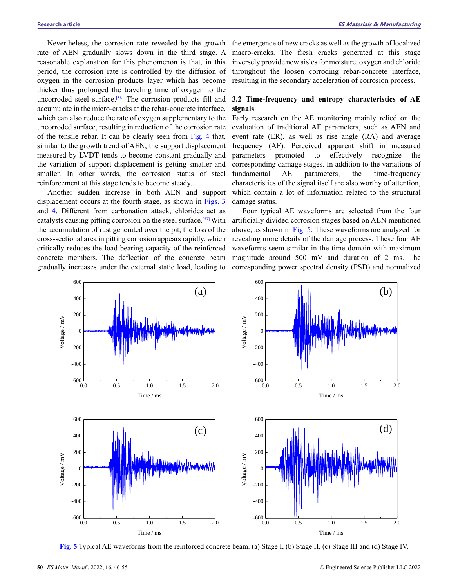Nevertheless, the corrosion rate revealed by the growth rate of AEN gradually slows down in the third stage. A reasonable explanation for this phenomenon is that, in this period, the corrosion rate is controlled by the diffusion of oxygen in the corrosion products layer which has become thicker thus prolonged the traveling time of oxygen to the uncorroded steel surface.<sup>[56]</sup> The corrosion products fill and accumulate in the micro-cracks at the rebar-concrete interface, which can also reduce the rate of oxygen supplementary to the uncorroded surface, resulting in reduction of the corrosion rate of the tensile rebar. It can be clearly seen from Fig. 4 that, similar to the growth trend of AEN, the support displacement measured by LVDT tends to become constant gradually and the variation of support displacement is getting smaller and smaller. In other words, the corrosion status of steel reinforcement at this stage tends to become steady.

Another sudden increase in both AEN and support displacement occurs at the fourth stage, as shown in Figs. 3 and 4. Different from carbonation attack, chlorides act as catalysts causing pitting corrosion on the steel surface.<sup>[57]</sup> With the accumulation of rust generated over the pit, the loss of the cross-sectional area in pitting corrosion appears rapidly, which critically reduces the load bearing capacity of the reinforced concrete members. The deflection of the concrete beam gradually increases under the external static load, leading to

the emergence of new cracks as well as the growth of localized macro-cracks. The fresh cracks generated at this stage inversely provide new aisles for moisture, oxygen and chloride throughout the loosen corroding rebar-concrete interface, resulting in the secondary acceleration of corrosion process.

# **3.2 Time-frequency and entropy characteristics of AE signals**

Early research on the AE monitoring mainly relied on the evaluation of traditional AE parameters, such as AEN and event rate (ER), as well as rise angle (RA) and average frequency (AF). Perceived apparent shift in measured parameters promoted to effectively recognize the corresponding damage stages. In addition to the variations of fundamental AE parameters, the time-frequency characteristics of the signal itself are also worthy of attention, which contain a lot of information related to the structural damage status.

Four typical AE waveforms are selected from the four artificially divided corrosion stages based on AEN mentioned above, as shown in Fig. 5. These waveforms are analyzed for revealing more details of the damage process. These four AE waveforms seem similar in the time domain with maximum magnitude around 500 mV and duration of 2 ms. The corresponding power spectral density (PSD) and normalized



**Fig. 5** Typical AE waveforms from the reinforced concrete beam. (a) Stage I, (b) Stage II, (c) Stage III and (d) Stage IV.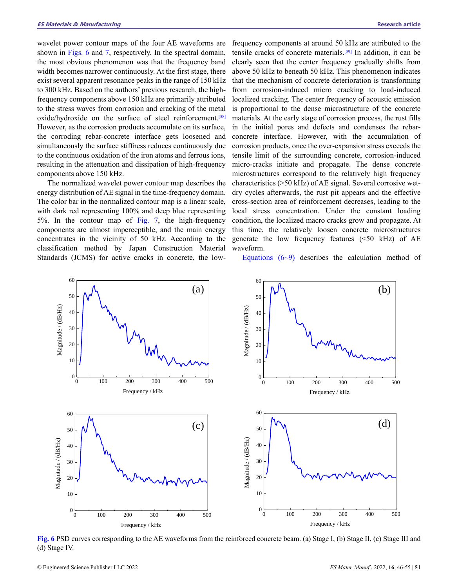wavelet power contour maps of the four AE waveforms are shown in Figs. 6 and 7, respectively. In the spectral domain, the most obvious phenomenon was that the frequency band width becomes narrower continuously. At the first stage, there exist several apparent resonance peaks in the range of 150 kHz to 300 kHz. Based on the authors' previous research, the highfrequency components above 150 kHz are primarily attributed to the stress waves from corrosion and cracking of the metal oxide/hydroxide on the surface of steel reinforcement. [58] However, as the corrosion products accumulate on its surface, the corroding rebar-concrete interface gets loosened and simultaneously the surface stiffness reduces continuously due to the continuous oxidation of the iron atoms and ferrous ions, resulting in the attenuation and dissipation of high-frequency components above 150 kHz.

The normalized wavelet power contour map describes the energy distribution of AE signal in the time-frequency domain. The color bar in the normalized contour map is a linear scale, with dark red representing 100% and deep blue representing 5%. In the contour map of Fig. 7, the high-frequency components are almost imperceptible, and the main energy concentrates in the vicinity of 50 kHz. According to the classification method by Japan Construction Material Standards (JCMS) for active cracks in concrete, the lowfrequency components at around 50 kHz are attributed to the tensile cracks of concrete materials. [59] In addition, it can be clearly seen that the center frequency gradually shifts from above 50 kHz to beneath 50 kHz. This phenomenon indicates that the mechanism of concrete deterioration is transforming from corrosion-induced micro cracking to load-induced localized cracking. The center frequency of acoustic emission is proportional to the dense microstructure of the concrete materials. At the early stage of corrosion process, the rust fills in the initial pores and defects and condenses the rebarconcrete interface. However, with the accumulation of corrosion products, once the over-expansion stress exceeds the tensile limit of the surrounding concrete, corrosion-induced micro-cracks initiate and propagate. The dense concrete microstructures correspond to the relatively high frequency characteristics (>50 kHz) of AE signal. Several corrosive wetdry cycles afterwards, the rust pit appears and the effective cross-section area of reinforcement decreases, leading to the local stress concentration. Under the constant loading condition, the localized macro cracks grow and propagate. At this time, the relatively loosen concrete microstructures generate the low frequency features  $( $50 \text{ kHz}$ ) of AE$ waveform.

Equations  $(6-9)$  describes the calculation method of



**Fig.** 6 PSD curves corresponding to the AE waveforms from the reinforced concrete beam. (a) Stage I, (b) Stage II, (c) Stage III and (d) Stage IV.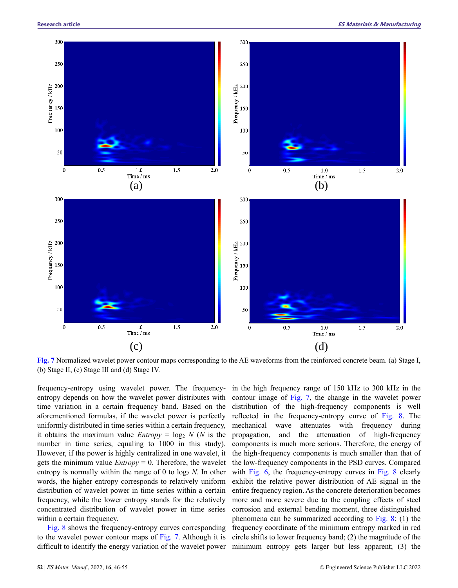

**Fig. 7** Normalized wavelet power contour maps corresponding to the AE waveforms from the reinforced concrete beam. (a) Stage I, (b) Stage II, (c) Stage III and (d) Stage IV.

frequency-entropy using wavelet power. The frequencyentropy depends on how the wavelet power distributes with time variation in a certain frequency band. Based on the aforementioned formulas, if the wavelet power is perfectly uniformly distributed in time series within a certain frequency, it obtains the maximum value *Entropy* =  $\log_2 N$  (*N* is the number in time series, equaling to 1000 in this study). However, if the power is highly centralized in one wavelet, it gets the minimum value *Entropy* = 0. Therefore, the wavelet entropy is normally within the range of 0 to  $log_2 N$ . In other words, the higher entropy corresponds to relatively uniform distribution of wavelet power in time series within a certain frequency, while the lower entropy stands for the relatively concentrated distribution of wavelet power in time series within a certain frequency.

Fig. 8 shows the frequency-entropy curves corresponding to the wavelet power contour maps of Fig. 7. Although it is difficult to identify the energy variation of the wavelet power

in the high frequency range of 150 kHz to 300 kHz in the contour image of Fig. 7, the change in the wavelet power distribution of the high-frequency components is well reflected in the frequency-entropy curve of Fig. 8. The mechanical wave attenuates with frequency during propagation, and the attenuation of high-frequency components is much more serious. Therefore, the energy of the high-frequency components is much smaller than that of the low-frequency components in the PSD curves. Compared with Fig. 6, the frequency-entropy curves in Fig. 8 clearly exhibit the relative power distribution of AE signal in the entire frequency region. As the concrete deterioration becomes more and more severe due to the coupling effects of steel corrosion and external bending moment, three distinguished phenomena can be summarized according to Fig. 8: (1) the frequency coordinate of the minimum entropy marked in red circle shifts to lower frequency band; (2) the magnitude of the minimum entropy gets larger but less apparent; (3) the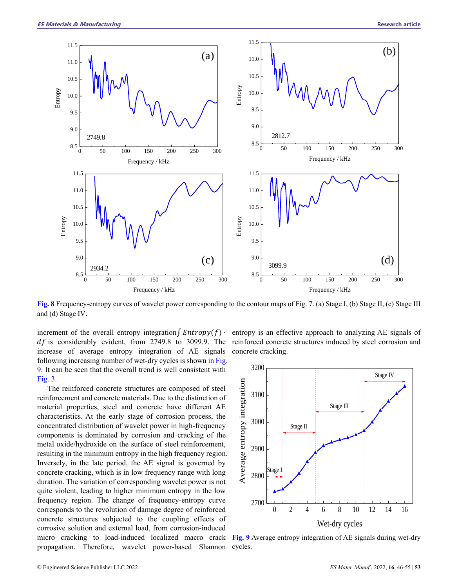

**Fig. 8** Frequency-entropy curves of wavelet power corresponding to the contour maps of Fig. 7. (a) Stage I, (b) Stage II, (c) Stage III and (d) Stage IV.

increment of the overall entropy integration∫  $Entropy(f)$ . increase of average entropy integration of AE signals following increasing number of wet-dry cycles is shown in Fig. 9. It can be seen that the overall trend is well consistent with Fig. 3.

The reinforced concrete structures are composed of steel reinforcement and concrete materials. Due to the distinction of material properties, steel and concrete have different AE characteristics. At the early stage of corrosion process, the concentrated distribution of wavelet power in high-frequency components is dominated by corrosion and cracking of the metal oxide/hydroxide on the surface of steel reinforcement, resulting in the minimum entropy in the high frequency region. Inversely, in the late period, the AE signal is governed by concrete cracking, which is in low frequency range with long duration. The variation of corresponding wavelet power is not quite violent, leading to higher minimum entropy in the low frequency region. The change of frequency-entropy curve corresponds to the revolution of damage degree of reinforced concrete structures subjected to the coupling effects of corrosive solution and external load, from corrosion-induced micro cracking to load-induced localized macro crack propagation. Therefore, wavelet power-based Shannon cycles.

 $df$  is considerably evident, from 2749.8 to 3099.9. The reinforced concrete structures induced by steel corrosion and entropy is an effective approach to analyzing AE signals of concrete cracking.



**Fig. 9** Average entropy integration of AE signals during wet-dry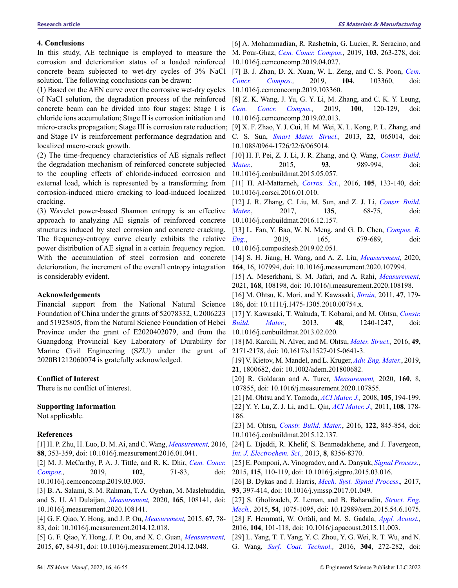## **4. Conclusions**

In this study, AE technique is employed to measure the corrosion and deterioration status of a loaded reinforced concrete beam subjected to wet-dry cycles of 3% NaCl solution. The following conclusions can be drawn:

(1) Based on the AEN curve over the corrosive wet-dry cycles of NaCl solution, the degradation process of the reinforced concrete beam can be divided into four stages: Stage I is chloride ions accumulation; Stage II is corrosion initiation and micro-cracks propagation; Stage III is corrosion rate reduction; [9] X. F. Zhao, Y. J. Cui, H. M. Wei, X. L. Kong, P. L. Zhang, and and Stage IV is reinforcement performance degradation and C. S. Sun, *Smart Mater. Struct.,* 2013, **22**, 065014, doi: localized macro-crack growth.

(2) The time-frequency characteristics of AE signals reflect [10] H. F. Pei, Z. J. Li, J. R. Zhang, and Q. Wang, *Constr. Build.* the degradation mechanism of reinforced concrete subjected to the coupling effects of chloride-induced corrosion and external load, which is represented by a transforming from corrosion-induced micro cracking to load-induced localized cracking.

(3) Wavelet power-based Shannon entropy is an effective approach to analyzing AE signals of reinforced concrete structures induced by steel corrosion and concrete cracking. The frequency-entropy curve clearly exhibits the relative power distribution of AE signal in a certain frequency region. With the accumulation of steel corrosion and concrete deterioration, the increment of the overall entropy integration is considerably evident.

## **Acknowledgements**

Financial support from the National Natural Science Foundation of China under the grants of 52078332, U2006223 and 51925805, from the Natural Science Foundation of Hebei Province under the grant of E2020402079, and from the Guangdong Provincial Key Laboratory of Durability for Marine Civil Engineering (SZU) under the grant of 2020B1212060074 is gratefully acknowledged.

#### **Conflict of Interest**

There is no conflict of interest.

## **Supporting Information**

Not applicable.

## **References**

[1] H. P. Zhu, H. Luo, D. M. Ai, and C. Wang, *Measurement,* 2016, [24] L. Djeddi, R. Khelif, S. Benmedakhene, and J. Favergeon, **88**, 353-359, doi: 10.1016/j.measurement.2016.01.041.

[2] M. J. McCarthy, P. A. J. Tittle, and R. K. Dhir, *Cem. Concr. Compos.*, 2019, **102**, 71-83, 10.1016/j.cemconcomp.2019.03.003.

[3] B. A. Salami, S. M. Rahman, T. A. Oyehan, M. Maslehuddin, and S. U. Al Dulaijan, *Measurement,* 2020, **165**, 108141, doi: 10.1016/j.measurement.2020.108141.

[4] G. F. Qiao, Y. Hong, and J. P. Ou, *Measurement,* 2015, **67**, 78- 83, doi: 10.1016/j.measurement.2014.12.018.

[5] G. F. Qiao, Y. Hong, J. P. Ou, and X. C. Guan, *Measurement,*  2015, **67**, 84-91, doi: 10.1016/j.measurement.2014.12.048.

[6] A. Mohammadian, R. Rashetnia, G. Lucier, R. Seracino, and M. Pour-Ghaz, *Cem. Concr. Compos.,* 2019, **103**, 263-278, doi: 10.1016/j.cemconcomp.2019.04.027.

[7] B. J. Zhan, D. X. Xuan, W. L. Zeng, and C. S. Poon, *Cem. Concr. Compos.,* 2019, **104**, 103360, doi: 10.1016/j.cemconcomp.2019.103360.

[8] Z. K. Wang, J. Yu, G. Y. Li, M. Zhang, and C. K. Y. Leung, *Cem. Concr. Compos.,* 2019, **100**, 120-129, doi: 10.1016/j.cemconcomp.2019.02.013.

10.1088/0964-1726/22/6/065014.

*Mater.*, 2015, **93**, 989-994, doi: 10.1016/j.conbuildmat.2015.05.057.

[11] H. Al-Mattarneh, *Corros. Sci.*, 2016, **105**, 133-140, doi: 10.1016/j.corsci.2016.01.010.

[12] J. R. Zhang, C. Liu, M. Sun, and Z. J. Li, *Constr. Build. Mater.*, 2017, **135**, 68-75, doi: 10.1016/j.conbuildmat.2016.12.157.

[13] L. Fan, Y. Bao, W. N. Meng, and G. D. Chen, *Compos. B. Eng*., 2019, 165, 679-689, doi: 10.1016/j.compositesb.2019.02.051.

[14] S. H. Jiang, H. Wang, and A. Z. Liu, *Measurement,* 2020, **164**, 16, 107994, doi: 10.1016/j.measurement.2020.107994.

[15] A. Meserkhani, S. M. Jafari, and A. Rahi, *Measurement,*  2021, **168**, 108198, doi: 10.1016/j.measurement.2020.108198.

[16] M. Ohtsu, K. Mori, and Y. Kawasaki, *Strain,* 2011, **47**, 179- 186, doi: 10.1111/j.1475-1305.2010.00754.x.

[17] Y. Kawasaki, T. Wakuda, T. Kobarai, and M. Ohtsu, *Constr. Build. Mater.*, 2013, **48**, 1240-1247, doi: 10.1016/j.conbuildmat.2013.02.020.

[18] M. Karcili, N. Alver, and M. Ohtsu, *Mater. Struct.,* 2016, **49**, 2171-2178, doi: 10.1617/s11527-015-0641-3.

[19] V. Kietov, M. Mandel, and L. Kruger, *Adv. Eng. Mater.*, 2019, **21**, 1800682, doi: 10.1002/adem.201800682.

[20] R. Goldaran and A. Turer, *Measurement,* 2020, **160**, 8, 107855, doi: 10.1016/j.measurement.2020.107855.

[21] M. Ohtsu and Y. Tomoda, *ACI Mater. J.,* 2008, **105**, 194-199. [22] Y. Y. Lu, Z. J. Li, and L. Qin, *ACI Mater. J.,* 2011, **108**, 178- 186.

[23] M. Ohtsu, *Constr. Build. Mater.*, 2016, **122**, 845-854, doi: 10.1016/j.conbuildmat.2015.12.137.

*Int. J. Electrochem. Sci.,* 2013, **8**, 8356-8370.

[25] E. Pomponi, A. Vinogradov, and A. Danyuk, *Signal Process.,*  2015, **115**, 110-119, doi: 10.1016/j.sigpro.2015.03.016.

[26] B. Dykas and J. Harris, *Mech. Syst. Signal Process*.*,* 2017, **93**, 397-414, doi: 10.1016/j.ymssp.2017.01.049.

[27] S. Gholizadeh, Z. Leman, and B. Baharudin, *Struct. Eng. Mech.,* 2015, **54**, 1075-1095, doi: 10.12989/sem.2015.54.6.1075. [28] F. Hemmati, W. Orfali, and M. S. Gadala, *Appl. Acoust.,* 

2016, **104**, 101-118, doi: 10.1016/j.apacoust.2015.11.003.

[29] L. Yang, T. T. Yang, Y. C. Zhou, Y. G. Wei, R. T. Wu, and N. G. Wang, *Surf. Coat. Technol.,* 2016, **304**, 272-282, doi: